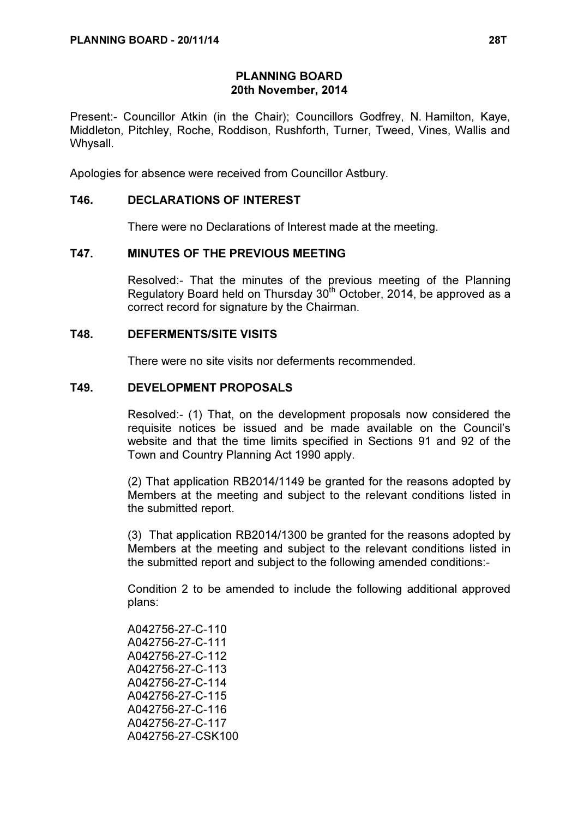## PLANNING BOARD 20th November, 2014

Present:- Councillor Atkin (in the Chair); Councillors Godfrey, N. Hamilton, Kaye, Middleton, Pitchley, Roche, Roddison, Rushforth, Turner, Tweed, Vines, Wallis and Whysall.

Apologies for absence were received from Councillor Astbury.

### T46. DECLARATIONS OF INTEREST

There were no Declarations of Interest made at the meeting.

#### T47. MINUTES OF THE PREVIOUS MEETING

 Resolved:- That the minutes of the previous meeting of the Planning Regulatory Board held on Thursday  $30<sup>th</sup>$  October, 2014, be approved as a correct record for signature by the Chairman.

#### T48. DEFERMENTS/SITE VISITS

There were no site visits nor deferments recommended.

#### T49. DEVELOPMENT PROPOSALS

 Resolved:- (1) That, on the development proposals now considered the requisite notices be issued and be made available on the Council's website and that the time limits specified in Sections 91 and 92 of the Town and Country Planning Act 1990 apply.

(2) That application RB2014/1149 be granted for the reasons adopted by Members at the meeting and subject to the relevant conditions listed in the submitted report.

(3) That application RB2014/1300 be granted for the reasons adopted by Members at the meeting and subject to the relevant conditions listed in the submitted report and subject to the following amended conditions:-

Condition 2 to be amended to include the following additional approved plans:

A042756-27-C-110 A042756-27-C-111 A042756-27-C-112 A042756-27-C-113 A042756-27-C-114 A042756-27-C-115 A042756-27-C-116 A042756-27-C-117 A042756-27-CSK100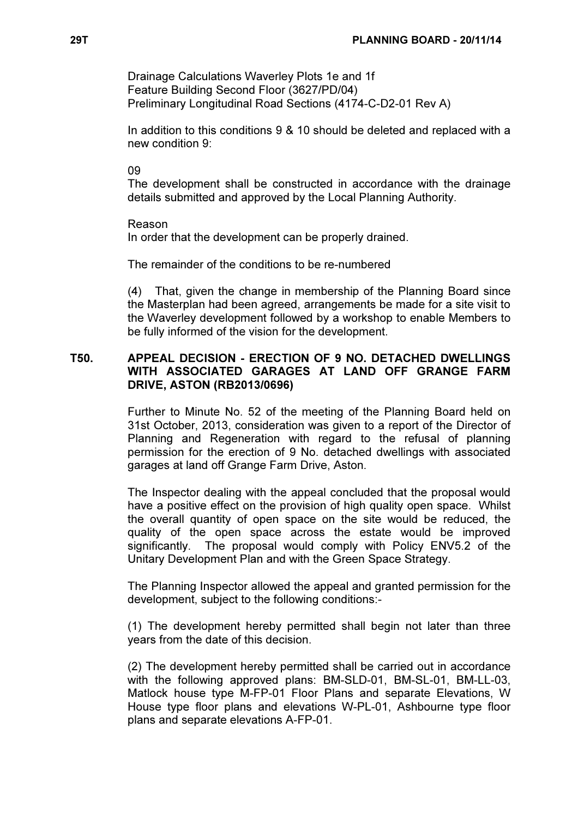Drainage Calculations Waverley Plots 1e and 1f Feature Building Second Floor (3627/PD/04) Preliminary Longitudinal Road Sections (4174-C-D2-01 Rev A)

In addition to this conditions 9 & 10 should be deleted and replaced with a new condition 9:

09

The development shall be constructed in accordance with the drainage details submitted and approved by the Local Planning Authority.

Reason In order that the development can be properly drained.

The remainder of the conditions to be re-numbered

(4) That, given the change in membership of the Planning Board since the Masterplan had been agreed, arrangements be made for a site visit to the Waverley development followed by a workshop to enable Members to be fully informed of the vision for the development.

### T50. APPEAL DECISION - ERECTION OF 9 NO. DETACHED DWELLINGS WITH ASSOCIATED GARAGES AT LAND OFF GRANGE FARM DRIVE, ASTON (RB2013/0696)

 Further to Minute No. 52 of the meeting of the Planning Board held on 31st October, 2013, consideration was given to a report of the Director of Planning and Regeneration with regard to the refusal of planning permission for the erection of 9 No. detached dwellings with associated garages at land off Grange Farm Drive, Aston.

The Inspector dealing with the appeal concluded that the proposal would have a positive effect on the provision of high quality open space. Whilst the overall quantity of open space on the site would be reduced, the quality of the open space across the estate would be improved significantly. The proposal would comply with Policy ENV5.2 of the Unitary Development Plan and with the Green Space Strategy.

The Planning Inspector allowed the appeal and granted permission for the development, subject to the following conditions:-

(1) The development hereby permitted shall begin not later than three years from the date of this decision.

(2) The development hereby permitted shall be carried out in accordance with the following approved plans: BM-SLD-01, BM-SL-01, BM-LL-03, Matlock house type M-FP-01 Floor Plans and separate Elevations, W House type floor plans and elevations W-PL-01, Ashbourne type floor plans and separate elevations A-FP-01.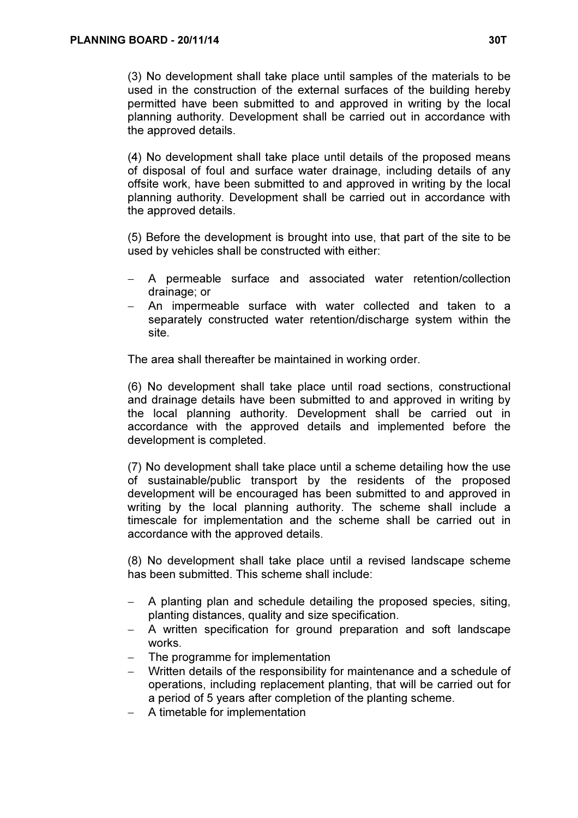(3) No development shall take place until samples of the materials to be used in the construction of the external surfaces of the building hereby permitted have been submitted to and approved in writing by the local planning authority. Development shall be carried out in accordance with the approved details.

(4) No development shall take place until details of the proposed means of disposal of foul and surface water drainage, including details of any offsite work, have been submitted to and approved in writing by the local planning authority. Development shall be carried out in accordance with the approved details.

(5) Before the development is brought into use, that part of the site to be used by vehicles shall be constructed with either:

- A permeable surface and associated water retention/collection drainage; or
- An impermeable surface with water collected and taken to a separately constructed water retention/discharge system within the site.

The area shall thereafter be maintained in working order.

(6) No development shall take place until road sections, constructional and drainage details have been submitted to and approved in writing by the local planning authority. Development shall be carried out in accordance with the approved details and implemented before the development is completed.

(7) No development shall take place until a scheme detailing how the use of sustainable/public transport by the residents of the proposed development will be encouraged has been submitted to and approved in writing by the local planning authority. The scheme shall include a timescale for implementation and the scheme shall be carried out in accordance with the approved details.

(8) No development shall take place until a revised landscape scheme has been submitted. This scheme shall include:

- − A planting plan and schedule detailing the proposed species, siting, planting distances, quality and size specification.
- − A written specification for ground preparation and soft landscape works.
- − The programme for implementation
- − Written details of the responsibility for maintenance and a schedule of operations, including replacement planting, that will be carried out for a period of 5 years after completion of the planting scheme.
- − A timetable for implementation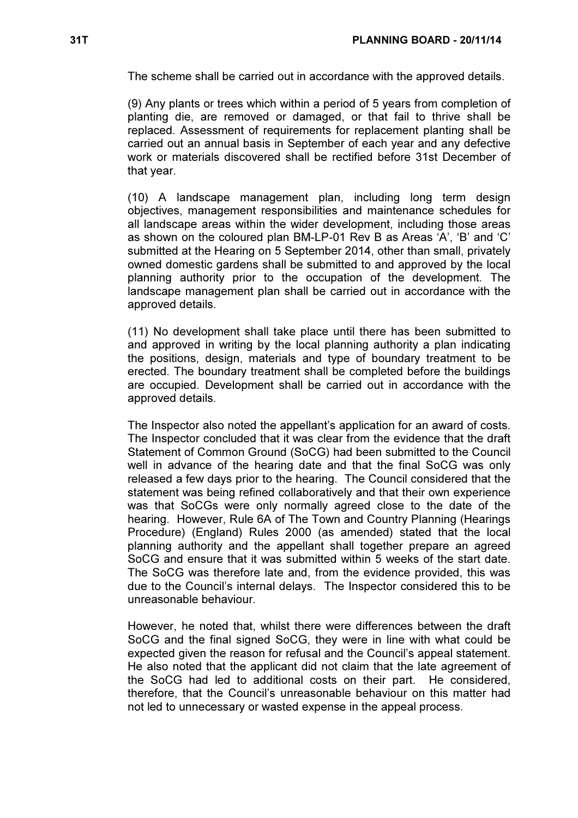The scheme shall be carried out in accordance with the approved details.

(9) Any plants or trees which within a period of 5 years from completion of planting die, are removed or damaged, or that fail to thrive shall be replaced. Assessment of requirements for replacement planting shall be carried out an annual basis in September of each year and any defective work or materials discovered shall be rectified before 31st December of that year.

(10) A landscape management plan, including long term design objectives, management responsibilities and maintenance schedules for all landscape areas within the wider development, including those areas as shown on the coloured plan BM-LP-01 Rev B as Areas 'A', 'B' and 'C' submitted at the Hearing on 5 September 2014, other than small, privately owned domestic gardens shall be submitted to and approved by the local planning authority prior to the occupation of the development. The landscape management plan shall be carried out in accordance with the approved details.

(11) No development shall take place until there has been submitted to and approved in writing by the local planning authority a plan indicating the positions, design, materials and type of boundary treatment to be erected. The boundary treatment shall be completed before the buildings are occupied. Development shall be carried out in accordance with the approved details.

The Inspector also noted the appellant's application for an award of costs. The Inspector concluded that it was clear from the evidence that the draft Statement of Common Ground (SoCG) had been submitted to the Council well in advance of the hearing date and that the final SoCG was only released a few days prior to the hearing. The Council considered that the statement was being refined collaboratively and that their own experience was that SoCGs were only normally agreed close to the date of the hearing. However, Rule 6A of The Town and Country Planning (Hearings Procedure) (England) Rules 2000 (as amended) stated that the local planning authority and the appellant shall together prepare an agreed SoCG and ensure that it was submitted within 5 weeks of the start date. The SoCG was therefore late and, from the evidence provided, this was due to the Council's internal delays. The Inspector considered this to be unreasonable behaviour.

However, he noted that, whilst there were differences between the draft SoCG and the final signed SoCG, they were in line with what could be expected given the reason for refusal and the Council's appeal statement. He also noted that the applicant did not claim that the late agreement of the SoCG had led to additional costs on their part. He considered, therefore, that the Council's unreasonable behaviour on this matter had not led to unnecessary or wasted expense in the appeal process.